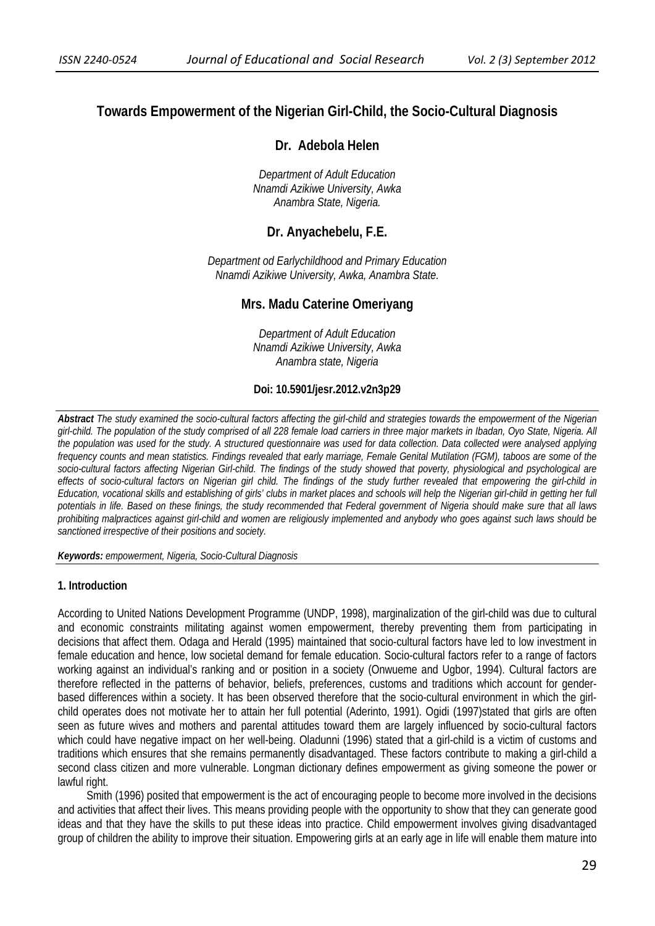# **Towards Empowerment of the Nigerian Girl-Child, the Socio-Cultural Diagnosis**

## **Dr. Adebola Helen**

*Department of Adult Education Nnamdi Azikiwe University, Awka Anambra State, Nigeria.* 

# **Dr. Anyachebelu, F.E.**

*Department od Earlychildhood and Primary Education Nnamdi Azikiwe University, Awka, Anambra State.* 

## **Mrs. Madu Caterine Omeriyang**

*Department of Adult Education Nnamdi Azikiwe University, Awka Anambra state, Nigeria* 

#### **Doi: 10.5901/jesr.2012.v2n3p29**

*Abstract The study examined the socio-cultural factors affecting the girl-child and strategies towards the empowerment of the Nigerian girl-child. The population of the study comprised of all 228 female load carriers in three major markets in Ibadan, Oyo State, Nigeria. All the population was used for the study. A structured questionnaire was used for data collection. Data collected were analysed applying frequency counts and mean statistics. Findings revealed that early marriage, Female Genital Mutilation (FGM), taboos are some of the socio-cultural factors affecting Nigerian Girl-child. The findings of the study showed that poverty, physiological and psychological are effects of socio-cultural factors on Nigerian girl child. The findings of the study further revealed that empowering the girl-child in Education, vocational skills and establishing of girls' clubs in market places and schools will help the Nigerian girl-child in getting her full potentials in life. Based on these finings, the study recommended that Federal government of Nigeria should make sure that all laws prohibiting malpractices against girl-child and women are religiously implemented and anybody who goes against such laws should be sanctioned irrespective of their positions and society.* 

*Keywords: empowerment, Nigeria, Socio-Cultural Diagnosis* 

#### **1. Introduction**

According to United Nations Development Programme (UNDP, 1998), marginalization of the girl-child was due to cultural and economic constraints militating against women empowerment, thereby preventing them from participating in decisions that affect them. Odaga and Herald (1995) maintained that socio-cultural factors have led to low investment in female education and hence, low societal demand for female education. Socio-cultural factors refer to a range of factors working against an individual's ranking and or position in a society (Onwueme and Ugbor, 1994). Cultural factors are therefore reflected in the patterns of behavior, beliefs, preferences, customs and traditions which account for genderbased differences within a society. It has been observed therefore that the socio-cultural environment in which the girlchild operates does not motivate her to attain her full potential (Aderinto, 1991). Ogidi (1997)stated that girls are often seen as future wives and mothers and parental attitudes toward them are largely influenced by socio-cultural factors which could have negative impact on her well-being. Oladunni (1996) stated that a girl-child is a victim of customs and traditions which ensures that she remains permanently disadvantaged. These factors contribute to making a girl-child a second class citizen and more vulnerable. Longman dictionary defines empowerment as giving someone the power or lawful right.

Smith (1996) posited that empowerment is the act of encouraging people to become more involved in the decisions and activities that affect their lives. This means providing people with the opportunity to show that they can generate good ideas and that they have the skills to put these ideas into practice. Child empowerment involves giving disadvantaged group of children the ability to improve their situation. Empowering girls at an early age in life will enable them mature into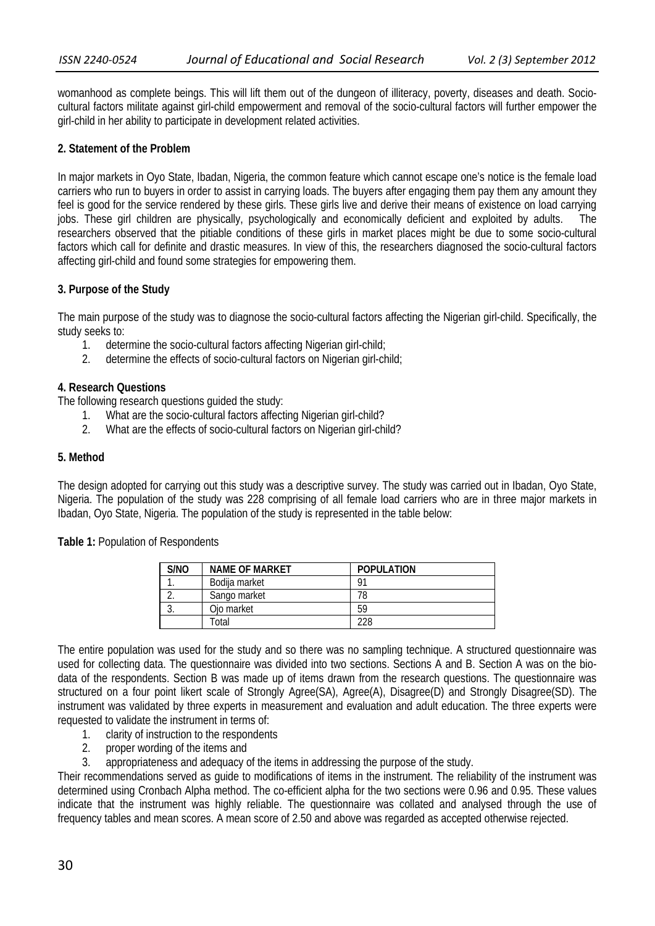womanhood as complete beings. This will lift them out of the dungeon of illiteracy, poverty, diseases and death. Sociocultural factors militate against girl-child empowerment and removal of the socio-cultural factors will further empower the girl-child in her ability to participate in development related activities.

## **2. Statement of the Problem**

In major markets in Oyo State, Ibadan, Nigeria, the common feature which cannot escape one's notice is the female load carriers who run to buyers in order to assist in carrying loads. The buyers after engaging them pay them any amount they feel is good for the service rendered by these girls. These girls live and derive their means of existence on load carrying jobs. These girl children are physically, psychologically and economically deficient and exploited by adults. The researchers observed that the pitiable conditions of these girls in market places might be due to some socio-cultural factors which call for definite and drastic measures. In view of this, the researchers diagnosed the socio-cultural factors affecting girl-child and found some strategies for empowering them.

## **3. Purpose of the Study**

The main purpose of the study was to diagnose the socio-cultural factors affecting the Nigerian girl-child. Specifically, the study seeks to:

- 1. determine the socio-cultural factors affecting Nigerian girl-child;
- 2. determine the effects of socio-cultural factors on Nigerian girl-child;

## **4. Research Questions**

The following research questions guided the study:

- 1. What are the socio-cultural factors affecting Nigerian girl-child?
- 2. What are the effects of socio-cultural factors on Nigerian girl-child?

#### **5. Method**

The design adopted for carrying out this study was a descriptive survey. The study was carried out in Ibadan, Oyo State, Nigeria. The population of the study was 228 comprising of all female load carriers who are in three major markets in Ibadan, Oyo State, Nigeria. The population of the study is represented in the table below:

**Table 1:** Population of Respondents

| S/NO | <b>NAME OF MARKET</b> | <b>POPULATION</b> |
|------|-----------------------|-------------------|
|      | Bodija market         |                   |
|      | Sango market          |                   |
|      | Oio market            | 59                |
|      | Γotal                 | 228               |

The entire population was used for the study and so there was no sampling technique. A structured questionnaire was used for collecting data. The questionnaire was divided into two sections. Sections A and B. Section A was on the biodata of the respondents. Section B was made up of items drawn from the research questions. The questionnaire was structured on a four point likert scale of Strongly Agree(SA), Agree(A), Disagree(D) and Strongly Disagree(SD). The instrument was validated by three experts in measurement and evaluation and adult education. The three experts were requested to validate the instrument in terms of:

- 1. clarity of instruction to the respondents
- 2. proper wording of the items and
- appropriateness and adequacy of the items in addressing the purpose of the study.

Their recommendations served as guide to modifications of items in the instrument. The reliability of the instrument was determined using Cronbach Alpha method. The co-efficient alpha for the two sections were 0.96 and 0.95. These values indicate that the instrument was highly reliable. The questionnaire was collated and analysed through the use of frequency tables and mean scores. A mean score of 2.50 and above was regarded as accepted otherwise rejected.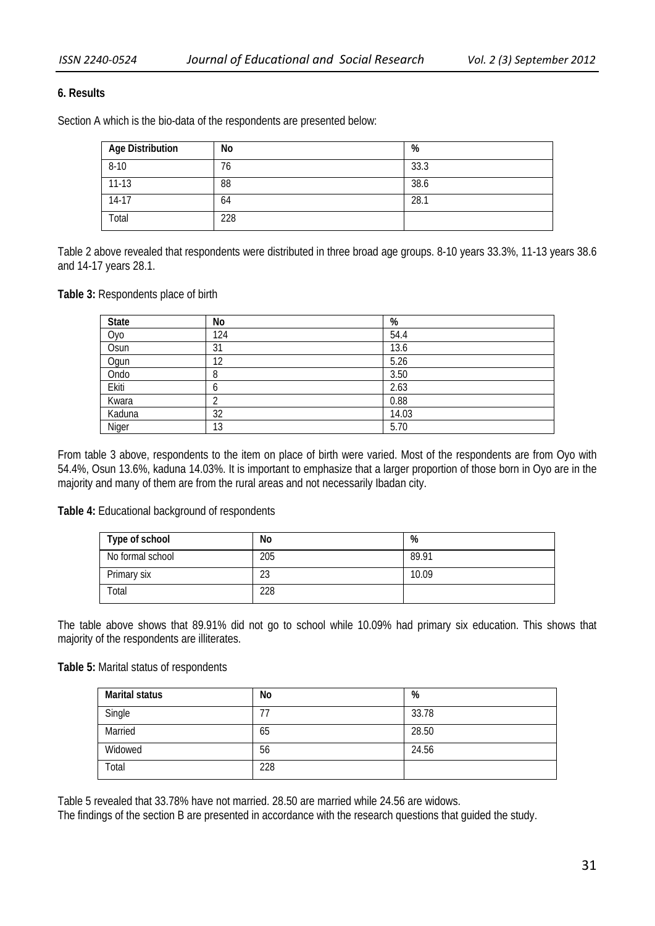## **6. Results**

Section A which is the bio-data of the respondents are presented below:

| Age Distribution | No  | %    |
|------------------|-----|------|
| $8 - 10$         | 76  | 33.3 |
| $11-13$          | 88  | 38.6 |
| $14-17$          | 64  | 28.1 |
| Total            | 228 |      |

Table 2 above revealed that respondents were distributed in three broad age groups. 8-10 years 33.3%, 11-13 years 38.6 and 14-17 years 28.1.

**Table 3:** Respondents place of birth

| <b>State</b> | No  | %     |
|--------------|-----|-------|
| Оуо          | 124 | 54.4  |
| Osun         | 31  | 13.6  |
| Ogun         | 12  | 5.26  |
| Ondo         |     | 3.50  |
| Ekiti        |     | 2.63  |
| Kwara        |     | 0.88  |
| Kaduna       | 32  | 14.03 |
| Niger        | 13  | 5.70  |

From table 3 above, respondents to the item on place of birth were varied. Most of the respondents are from Oyo with 54.4%, Osun 13.6%, kaduna 14.03%. It is important to emphasize that a larger proportion of those born in Oyo are in the majority and many of them are from the rural areas and not necessarily Ibadan city.

**Table 4:** Educational background of respondents

| Type of school   | No  | %     |
|------------------|-----|-------|
| No formal school | 205 | 89.91 |
| Primary six      | 23  | 10.09 |
| Total            | 228 |       |

The table above shows that 89.91% did not go to school while 10.09% had primary six education. This shows that majority of the respondents are illiterates.

#### **Table 5:** Marital status of respondents

| <b>Marital status</b> | No  | %     |
|-----------------------|-----|-------|
| Single                |     | 33.78 |
| Married               | 65  | 28.50 |
| Widowed               | 56  | 24.56 |
| Total                 | 228 |       |

Table 5 revealed that 33.78% have not married. 28.50 are married while 24.56 are widows.

The findings of the section B are presented in accordance with the research questions that guided the study.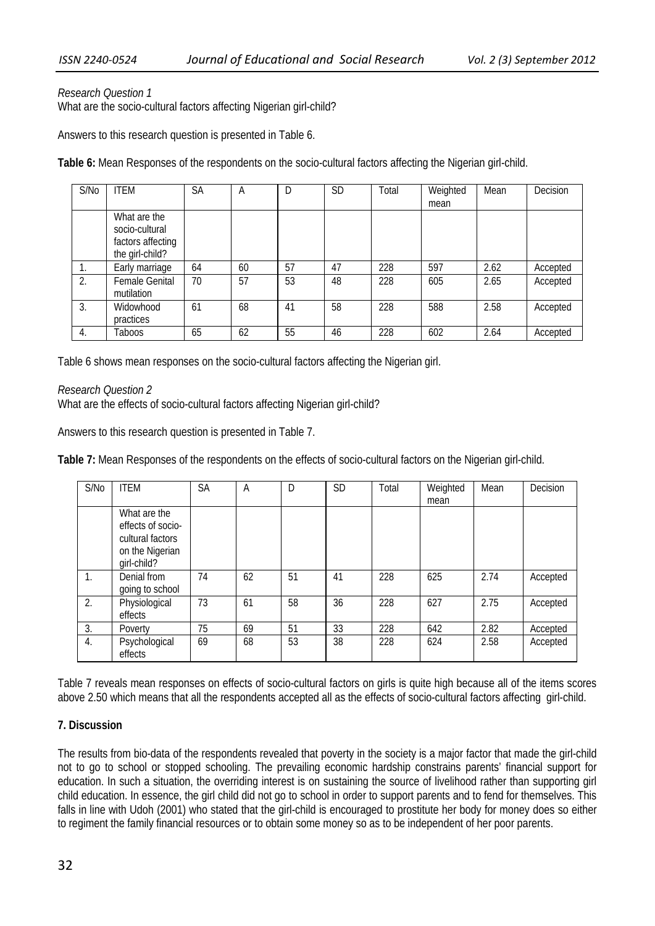## *Research Question 1*

What are the socio-cultural factors affecting Nigerian girl-child?

Answers to this research question is presented in Table 6.

**Table 6:** Mean Responses of the respondents on the socio-cultural factors affecting the Nigerian girl-child.

| S/No | <b>ITEM</b>           | <b>SA</b> | Α  |    | <b>SD</b> | Total | Weighted | Mean | Decision |
|------|-----------------------|-----------|----|----|-----------|-------|----------|------|----------|
|      |                       |           |    |    |           |       | mean     |      |          |
|      | What are the          |           |    |    |           |       |          |      |          |
|      | socio-cultural        |           |    |    |           |       |          |      |          |
|      | factors affecting     |           |    |    |           |       |          |      |          |
|      | the girl-child?       |           |    |    |           |       |          |      |          |
|      | Early marriage        | 64        | 60 | 57 | 47        | 228   | 597      | 2.62 | Accepted |
| 2.   | <b>Female Genital</b> | 70        | 57 | 53 | 48        | 228   | 605      | 2.65 | Accepted |
|      | mutilation            |           |    |    |           |       |          |      |          |
| 3.   | Widowhood             | 61        | 68 | 41 | 58        | 228   | 588      | 2.58 | Accepted |
|      | practices             |           |    |    |           |       |          |      |          |
| 4.   | Taboos                | 65        | 62 | 55 | 46        | 228   | 602      | 2.64 | Accepted |

Table 6 shows mean responses on the socio-cultural factors affecting the Nigerian girl.

#### *Research Question 2*

What are the effects of socio-cultural factors affecting Nigerian girl-child?

Answers to this research question is presented in Table 7.

**Table 7:** Mean Responses of the respondents on the effects of socio-cultural factors on the Nigerian girl-child.

| S/N <sub>0</sub> | <b>ITEM</b>                                                                             | SA | A  | D  | <b>SD</b> | Total | Weighted<br>mean | Mean | Decision |
|------------------|-----------------------------------------------------------------------------------------|----|----|----|-----------|-------|------------------|------|----------|
|                  | What are the<br>effects of socio-<br>cultural factors<br>on the Nigerian<br>girl-child? |    |    |    |           |       |                  |      |          |
| 1.               | Denial from<br>going to school                                                          | 74 | 62 | 51 | 41        | 228   | 625              | 2.74 | Accepted |
| 2.               | Physiological<br>effects                                                                | 73 | 61 | 58 | 36        | 228   | 627              | 2.75 | Accepted |
| 3.               | Poverty                                                                                 | 75 | 69 | 51 | 33        | 228   | 642              | 2.82 | Accepted |
| 4.               | Psychological<br>effects                                                                | 69 | 68 | 53 | 38        | 228   | 624              | 2.58 | Accepted |

Table 7 reveals mean responses on effects of socio-cultural factors on girls is quite high because all of the items scores above 2.50 which means that all the respondents accepted all as the effects of socio-cultural factors affecting girl-child.

# **7. Discussion**

The results from bio-data of the respondents revealed that poverty in the society is a major factor that made the girl-child not to go to school or stopped schooling. The prevailing economic hardship constrains parents' financial support for education. In such a situation, the overriding interest is on sustaining the source of livelihood rather than supporting girl child education. In essence, the girl child did not go to school in order to support parents and to fend for themselves. This falls in line with Udoh (2001) who stated that the girl-child is encouraged to prostitute her body for money does so either to regiment the family financial resources or to obtain some money so as to be independent of her poor parents.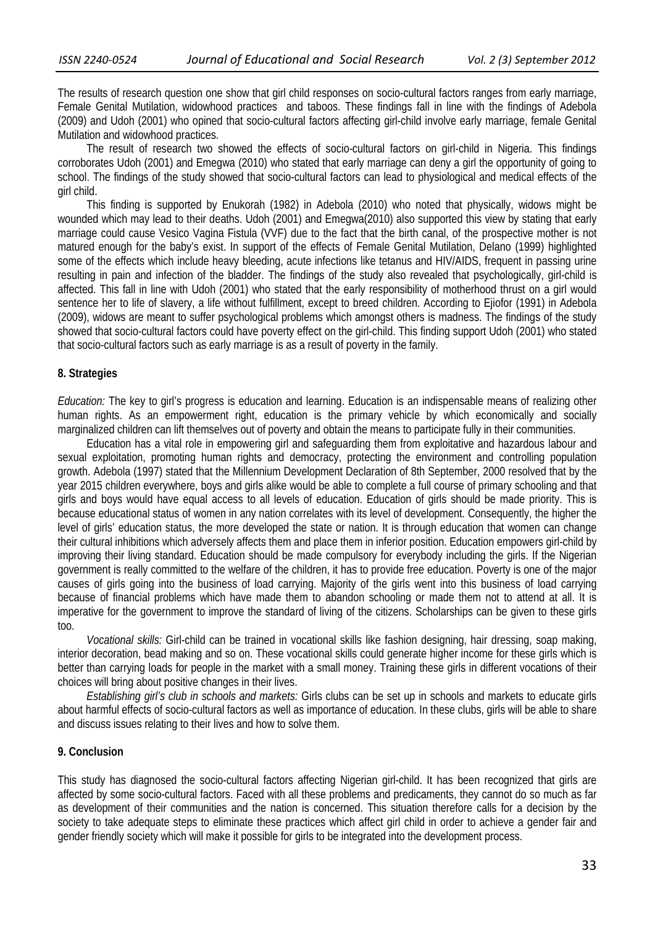The results of research question one show that girl child responses on socio-cultural factors ranges from early marriage, Female Genital Mutilation, widowhood practices and taboos. These findings fall in line with the findings of Adebola (2009) and Udoh (2001) who opined that socio-cultural factors affecting girl-child involve early marriage, female Genital Mutilation and widowhood practices.

The result of research two showed the effects of socio-cultural factors on girl-child in Nigeria. This findings corroborates Udoh (2001) and Emegwa (2010) who stated that early marriage can deny a girl the opportunity of going to school. The findings of the study showed that socio-cultural factors can lead to physiological and medical effects of the girl child.

This finding is supported by Enukorah (1982) in Adebola (2010) who noted that physically, widows might be wounded which may lead to their deaths. Udoh (2001) and Emegwa(2010) also supported this view by stating that early marriage could cause Vesico Vagina Fistula (VVF) due to the fact that the birth canal, of the prospective mother is not matured enough for the baby's exist. In support of the effects of Female Genital Mutilation, Delano (1999) highlighted some of the effects which include heavy bleeding, acute infections like tetanus and HIV/AIDS, frequent in passing urine resulting in pain and infection of the bladder. The findings of the study also revealed that psychologically, girl-child is affected. This fall in line with Udoh (2001) who stated that the early responsibility of motherhood thrust on a girl would sentence her to life of slavery, a life without fulfillment, except to breed children. According to Ejiofor (1991) in Adebola (2009), widows are meant to suffer psychological problems which amongst others is madness. The findings of the study showed that socio-cultural factors could have poverty effect on the girl-child. This finding support Udoh (2001) who stated that socio-cultural factors such as early marriage is as a result of poverty in the family.

#### **8. Strategies**

*Education:* The key to girl's progress is education and learning. Education is an indispensable means of realizing other human rights. As an empowerment right, education is the primary vehicle by which economically and socially marginalized children can lift themselves out of poverty and obtain the means to participate fully in their communities.

Education has a vital role in empowering girl and safeguarding them from exploitative and hazardous labour and sexual exploitation, promoting human rights and democracy, protecting the environment and controlling population growth. Adebola (1997) stated that the Millennium Development Declaration of 8th September, 2000 resolved that by the year 2015 children everywhere, boys and girls alike would be able to complete a full course of primary schooling and that girls and boys would have equal access to all levels of education. Education of girls should be made priority. This is because educational status of women in any nation correlates with its level of development. Consequently, the higher the level of girls' education status, the more developed the state or nation. It is through education that women can change their cultural inhibitions which adversely affects them and place them in inferior position. Education empowers girl-child by improving their living standard. Education should be made compulsory for everybody including the girls. If the Nigerian government is really committed to the welfare of the children, it has to provide free education. Poverty is one of the major causes of girls going into the business of load carrying. Majority of the girls went into this business of load carrying because of financial problems which have made them to abandon schooling or made them not to attend at all. It is imperative for the government to improve the standard of living of the citizens. Scholarships can be given to these girls too.

*Vocational skills:* Girl-child can be trained in vocational skills like fashion designing, hair dressing, soap making, interior decoration, bead making and so on. These vocational skills could generate higher income for these girls which is better than carrying loads for people in the market with a small money. Training these girls in different vocations of their choices will bring about positive changes in their lives.

*Establishing girl's club in schools and markets:* Girls clubs can be set up in schools and markets to educate girls about harmful effects of socio-cultural factors as well as importance of education. In these clubs, girls will be able to share and discuss issues relating to their lives and how to solve them.

### **9. Conclusion**

This study has diagnosed the socio-cultural factors affecting Nigerian girl-child. It has been recognized that girls are affected by some socio-cultural factors. Faced with all these problems and predicaments, they cannot do so much as far as development of their communities and the nation is concerned. This situation therefore calls for a decision by the society to take adequate steps to eliminate these practices which affect girl child in order to achieve a gender fair and gender friendly society which will make it possible for girls to be integrated into the development process.